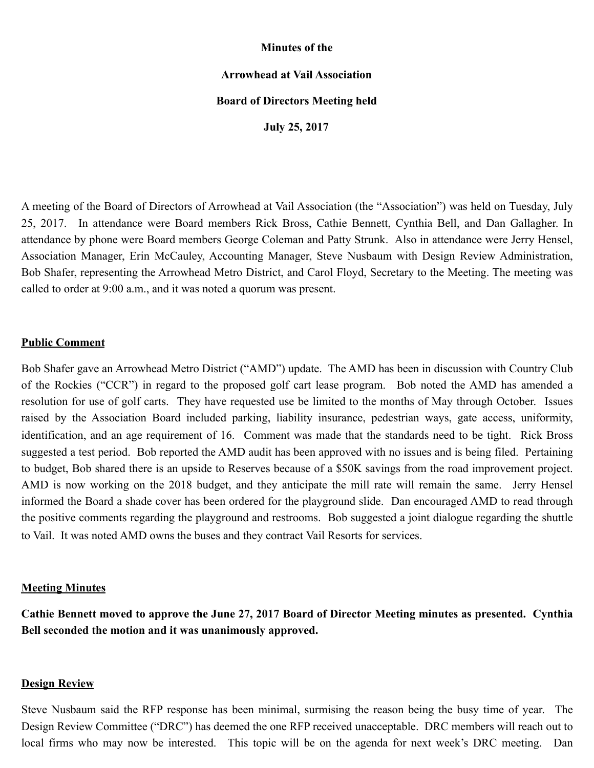## **Minutes of the**

# **Arrowhead at Vail Association**

## **Board of Directors Meeting held**

**July 25, 2017** 

A meeting of the Board of Directors of Arrowhead at Vail Association (the "Association") was held on Tuesday, July 25, 2017. In attendance were Board members Rick Bross, Cathie Bennett, Cynthia Bell, and Dan Gallagher. In attendance by phone were Board members George Coleman and Patty Strunk. Also in attendance were Jerry Hensel, Association Manager, Erin McCauley, Accounting Manager, Steve Nusbaum with Design Review Administration, Bob Shafer, representing the Arrowhead Metro District, and Carol Floyd, Secretary to the Meeting. The meeting was called to order at 9:00 a.m., and it was noted a quorum was present.

## **Public Comment**

Bob Shafer gave an Arrowhead Metro District ("AMD") update. The AMD has been in discussion with Country Club of the Rockies ("CCR") in regard to the proposed golf cart lease program. Bob noted the AMD has amended a resolution for use of golf carts. They have requested use be limited to the months of May through October. Issues raised by the Association Board included parking, liability insurance, pedestrian ways, gate access, uniformity, identification, and an age requirement of 16. Comment was made that the standards need to be tight. Rick Bross suggested a test period. Bob reported the AMD audit has been approved with no issues and is being filed. Pertaining to budget, Bob shared there is an upside to Reserves because of a \$50K savings from the road improvement project. AMD is now working on the 2018 budget, and they anticipate the mill rate will remain the same. Jerry Hensel informed the Board a shade cover has been ordered for the playground slide. Dan encouraged AMD to read through the positive comments regarding the playground and restrooms. Bob suggested a joint dialogue regarding the shuttle to Vail. It was noted AMD owns the buses and they contract Vail Resorts for services.

#### **Meeting Minutes**

**Cathie Bennett moved to approve the June 27, 2017 Board of Director Meeting minutes as presented. Cynthia Bell seconded the motion and it was unanimously approved.** 

### **Design Review**

Steve Nusbaum said the RFP response has been minimal, surmising the reason being the busy time of year. The Design Review Committee ("DRC") has deemed the one RFP received unacceptable. DRC members will reach out to local firms who may now be interested. This topic will be on the agenda for next week's DRC meeting. Dan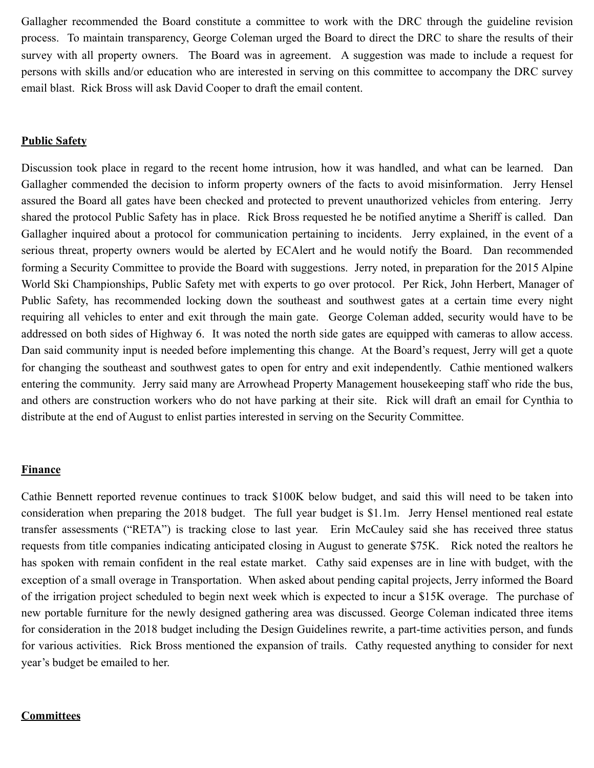Gallagher recommended the Board constitute a committee to work with the DRC through the guideline revision process. To maintain transparency, George Coleman urged the Board to direct the DRC to share the results of their survey with all property owners. The Board was in agreement. A suggestion was made to include a request for persons with skills and/or education who are interested in serving on this committee to accompany the DRC survey email blast. Rick Bross will ask David Cooper to draft the email content.

## **Public Safety**

Discussion took place in regard to the recent home intrusion, how it was handled, and what can be learned. Dan Gallagher commended the decision to inform property owners of the facts to avoid misinformation. Jerry Hensel assured the Board all gates have been checked and protected to prevent unauthorized vehicles from entering. Jerry shared the protocol Public Safety has in place. Rick Bross requested he be notified anytime a Sheriff is called. Dan Gallagher inquired about a protocol for communication pertaining to incidents. Jerry explained, in the event of a serious threat, property owners would be alerted by ECAlert and he would notify the Board. Dan recommended forming a Security Committee to provide the Board with suggestions. Jerry noted, in preparation for the 2015 Alpine World Ski Championships, Public Safety met with experts to go over protocol. Per Rick, John Herbert, Manager of Public Safety, has recommended locking down the southeast and southwest gates at a certain time every night requiring all vehicles to enter and exit through the main gate. George Coleman added, security would have to be addressed on both sides of Highway 6. It was noted the north side gates are equipped with cameras to allow access. Dan said community input is needed before implementing this change. At the Board's request, Jerry will get a quote for changing the southeast and southwest gates to open for entry and exit independently. Cathie mentioned walkers entering the community. Jerry said many are Arrowhead Property Management housekeeping staff who ride the bus, and others are construction workers who do not have parking at their site. Rick will draft an email for Cynthia to distribute at the end of August to enlist parties interested in serving on the Security Committee.

# **Finance**

Cathie Bennett reported revenue continues to track \$100K below budget, and said this will need to be taken into consideration when preparing the 2018 budget. The full year budget is \$1.1m. Jerry Hensel mentioned real estate transfer assessments ("RETA") is tracking close to last year. Erin McCauley said she has received three status requests from title companies indicating anticipated closing in August to generate \$75K. Rick noted the realtors he has spoken with remain confident in the real estate market. Cathy said expenses are in line with budget, with the exception of a small overage in Transportation. When asked about pending capital projects, Jerry informed the Board of the irrigation project scheduled to begin next week which is expected to incur a \$15K overage. The purchase of new portable furniture for the newly designed gathering area was discussed. George Coleman indicated three items for consideration in the 2018 budget including the Design Guidelines rewrite, a part-time activities person, and funds for various activities. Rick Bross mentioned the expansion of trails. Cathy requested anything to consider for next year's budget be emailed to her.

#### **Committees**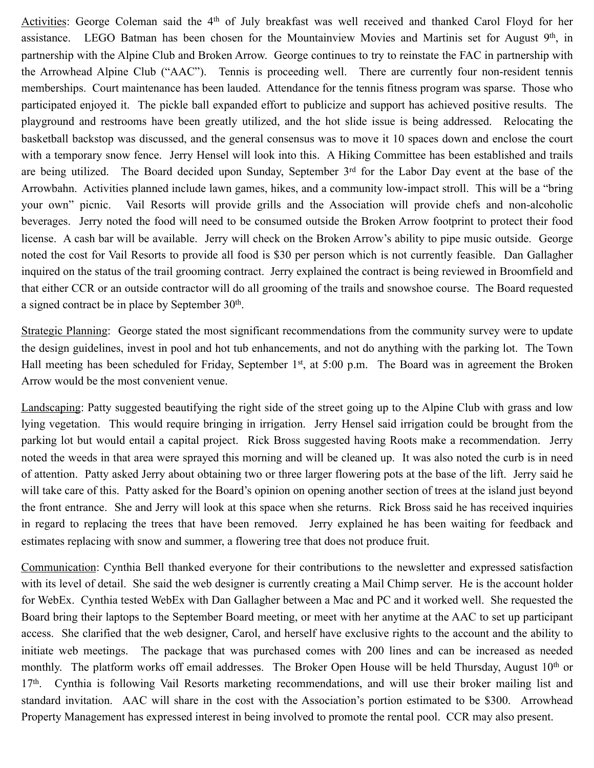Activities: George Coleman said the 4<sup>th</sup> of July breakfast was well received and thanked Carol Floyd for her assistance. LEGO Batman has been chosen for the Mountainview Movies and Martinis set for August 9<sup>th</sup>, in partnership with the Alpine Club and Broken Arrow. George continues to try to reinstate the FAC in partnership with the Arrowhead Alpine Club ("AAC"). Tennis is proceeding well. There are currently four non-resident tennis memberships. Court maintenance has been lauded. Attendance for the tennis fitness program was sparse. Those who participated enjoyed it. The pickle ball expanded effort to publicize and support has achieved positive results. The playground and restrooms have been greatly utilized, and the hot slide issue is being addressed. Relocating the basketball backstop was discussed, and the general consensus was to move it 10 spaces down and enclose the court with a temporary snow fence. Jerry Hensel will look into this. A Hiking Committee has been established and trails are being utilized. The Board decided upon Sunday, September 3<sup>rd</sup> for the Labor Day event at the base of the Arrowbahn. Activities planned include lawn games, hikes, and a community low-impact stroll. This will be a "bring your own" picnic. Vail Resorts will provide grills and the Association will provide chefs and non-alcoholic beverages. Jerry noted the food will need to be consumed outside the Broken Arrow footprint to protect their food license. A cash bar will be available. Jerry will check on the Broken Arrow's ability to pipe music outside. George noted the cost for Vail Resorts to provide all food is \$30 per person which is not currently feasible. Dan Gallagher inquired on the status of the trail grooming contract. Jerry explained the contract is being reviewed in Broomfield and that either CCR or an outside contractor will do all grooming of the trails and snowshoe course. The Board requested a signed contract be in place by September 30<sup>th</sup>.

Strategic Planning: George stated the most significant recommendations from the community survey were to update the design guidelines, invest in pool and hot tub enhancements, and not do anything with the parking lot. The Town Hall meeting has been scheduled for Friday, September 1<sup>st</sup>, at 5:00 p.m. The Board was in agreement the Broken Arrow would be the most convenient venue.

Landscaping: Patty suggested beautifying the right side of the street going up to the Alpine Club with grass and low lying vegetation. This would require bringing in irrigation. Jerry Hensel said irrigation could be brought from the parking lot but would entail a capital project. Rick Bross suggested having Roots make a recommendation. Jerry noted the weeds in that area were sprayed this morning and will be cleaned up. It was also noted the curb is in need of attention. Patty asked Jerry about obtaining two or three larger flowering pots at the base of the lift. Jerry said he will take care of this. Patty asked for the Board's opinion on opening another section of trees at the island just beyond the front entrance. She and Jerry will look at this space when she returns. Rick Bross said he has received inquiries in regard to replacing the trees that have been removed. Jerry explained he has been waiting for feedback and estimates replacing with snow and summer, a flowering tree that does not produce fruit.

Communication: Cynthia Bell thanked everyone for their contributions to the newsletter and expressed satisfaction with its level of detail. She said the web designer is currently creating a Mail Chimp server. He is the account holder for WebEx. Cynthia tested WebEx with Dan Gallagher between a Mac and PC and it worked well. She requested the Board bring their laptops to the September Board meeting, or meet with her anytime at the AAC to set up participant access. She clarified that the web designer, Carol, and herself have exclusive rights to the account and the ability to initiate web meetings. The package that was purchased comes with 200 lines and can be increased as needed monthly. The platform works off email addresses. The Broker Open House will be held Thursday, August 10<sup>th</sup> or 17th. Cynthia is following Vail Resorts marketing recommendations, and will use their broker mailing list and standard invitation. AAC will share in the cost with the Association's portion estimated to be \$300. Arrowhead Property Management has expressed interest in being involved to promote the rental pool. CCR may also present.